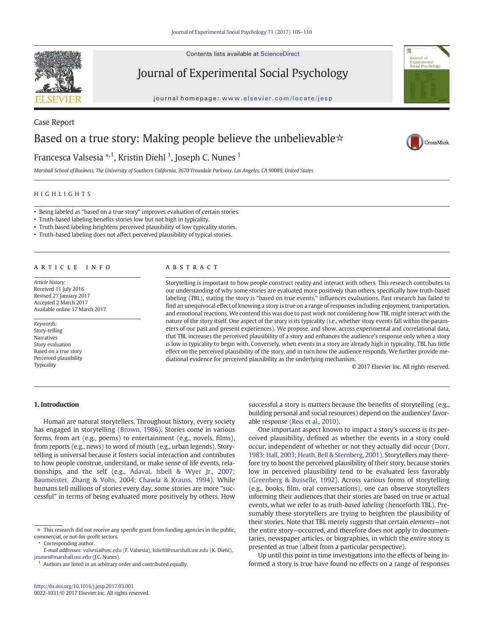Contents lists available at ScienceDirect



Journal of Experimental Social Psychology

journal homepage: <www.elsevier.com/locate/jesp>



CrossMark

# Case Report Based on a true story: Making people believe the unbelievable☆

# Francesca Valsesia \*<sup>,1</sup>, Kristin Diehl <sup>1</sup>, Joseph C. Nunes <sup>1</sup>

Marshall School of Business, The University of Southern California, 3670 Trousdale Parkway, Los Angeles, CA 90089, United States

#### HIGHLIGHTS

- Being labeled as "based on a true story" improves evaluation of certain stories.
- Truth-based labeling benefits stories low but not high in typicality.
- Truth based labeling heightens perceived plausibility of low typicality stories.
- Truth-based labeling does not affect perceived plausibility of typical stories.

#### article info abstract

Article history: Received 11 July 2016 Revised 27 January 2017 Accepted 2 March 2017 Available online 17 March 2017

#### Keywords:

Story-telling Narratives Story evaluation Based on a true story Perceived plausibility Typicality

Storytelling is important to how people construct reality and interact with others. This research contributes to our understanding of why some stories are evaluated more positively than others, specifically how truth-based labeling (TBL), stating the story is "based on true events," influences evaluations. Past research has failed to find an unequivocal effect of knowing a story is true on a range of responses including enjoyment, transportation, and emotional reactions. We contend this was due to past work not considering how TBL might interact with the nature of the story itself. One aspect of the story is its typicality (i.e., whether story events fall within the parameters of our past and present experiences). We propose, and show, across experimental and correlational data, that TBL increases the perceived plausibility of a story and enhances the audience's response only when a story is low in typicality to begin with. Conversely, when events in a story are already high in typicality, TBL has little effect on the perceived plausibility of the story, and in turn how the audience responds. We further provide mediational evidence for perceived plausibility as the underlying mechanism.

© 2017 Elsevier Inc. All rights reserved.

# 1. Introduction

Human are natural storytellers. Throughout history, every society has engaged in storytelling [\(Brown, 1986\)](#page-5-0). Stories come in various forms, from art (e.g., poems) to entertainment (e.g., novels, films), from reports (e.g., news) to word of mouth (e.g., urban legends). Storytelling is universal because it fosters social interaction and contributes to how people construe, understand, or make sense of life events, relationships, and the self (e.g., [Adaval, Isbell & Wyer Jr., 2007;](#page-5-0) [Baumeister, Zhang & Vohs, 2004; Chawla & Krauss, 1994](#page-5-0)). While humans tell millions of stories every day, some stories are more "successful" in terms of being evaluated more positively by others. How

Authors are listed in an arbitrary order and contributed equally.

successful a story is matters because the benefits of storytelling (e.g., building personal and social resources) depend on the audiences' favorable response ([Reis et al., 2010\)](#page-5-0).

One important aspect known to impact a story's success is its perceived plausibility, defined as whether the events in a story could occur, independent of whether or not they actually did occur ([Dorr,](#page-5-0) [1983; Hall, 2003; Heath, Bell & Sternberg, 2001](#page-5-0)). Storytellers may therefore try to boost the perceived plausibility of their story, because stories low in perceived plausibility tend to be evaluated less favorably [\(Greenberg & Busselle, 1992](#page-5-0)). Across various forms of storytelling (e.g., books, film, oral conversations), one can observe storytellers informing their audiences that their stories are based on true or actual events, what we refer to as truth-based labeling (henceforth TBL). Presumably these storytellers are trying to heighten the plausibility of their stories. Note that TBL merely suggests that certain elements—not the entire story—occurred, and therefore does not apply to documentaries, newspaper articles, or biographies, in which the entire story is presented as true (albeit from a particular perspective).

Up until this point in time investigations into the effects of being informed a story is true have found no effects on a range of responses

 $\star$  This research did not receive any specific grant from funding agencies in the public, commercial, or not-for-profit sectors.

Corresponding author.

E-mail addresses: valsesia@usc.edu (F. Valsesia), kdiehl@marshall.usc.edu (K. Diehl), [jnunes@marshall.usc.edu](mailto:jnunes@marshall.usc.edu) (J.C. Nunes).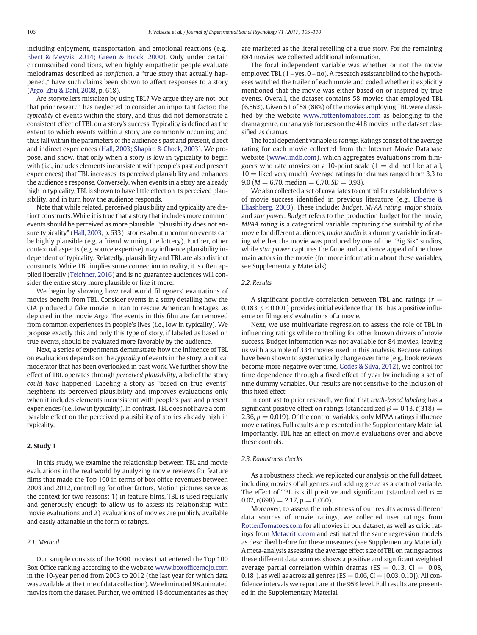including enjoyment, transportation, and emotional reactions (e.g., [Ebert & Meyvis, 2014; Green & Brock, 2000](#page-5-0)). Only under certain circumscribed conditions, when highly empathetic people evaluate melodramas described as nonfiction, a "true story that actually happened," have such claims been shown to affect responses to a story [\(Argo, Zhu & Dahl, 2008](#page-5-0), p. 618).

Are storytellers mistaken by using TBL? We argue they are not, but that prior research has neglected to consider an important factor: the typicality of events within the story, and thus did not demonstrate a consistent effect of TBL on a story's success. Typicality is defined as the extent to which events within a story are commonly occurring and thus fall within the parameters of the audience's past and present, direct and indirect experiences ([Hall, 2003; Shapiro & Chock, 2003\)](#page-5-0). We propose, and show, that only when a story is low in typicality to begin with (i.e., includes elements inconsistent with people's past and present experiences) that TBL increases its perceived plausibility and enhances the audience's response. Conversely, when events in a story are already high in typicality, TBL is shown to have little effect on its perceived plausibility, and in turn how the audience responds.

Note that while related, perceived plausibility and typicality are distinct constructs. While it is true that a story that includes more common events should be perceived as more plausible, "plausibility does not ensure typicality" ([Hall, 2003,](#page-5-0) p. 633); stories about uncommon events can be highly plausible (e.g. a friend winning the lottery). Further, other contextual aspects (e.g. source expertise) may influence plausibility independent of typicality. Relatedly, plausibility and TBL are also distinct constructs. While TBL implies some connection to reality, it is often applied liberally [\(Teichner, 2016\)](#page-5-0) and is no guarantee audiences will consider the entire story more plausible or like it more.

We begin by showing how real world filmgoers' evaluations of movies benefit from TBL. Consider events in a story detailing how the CIA produced a fake movie in Iran to rescue American hostages, as depicted in the movie Argo. The events in this film are far removed from common experiences in people's lives (i.e., low in typicality). We propose exactly this and only this type of story, if labeled as based on true events, should be evaluated more favorably by the audience.

Next, a series of experiments demonstrate how the influence of TBL on evaluations depends on the typicality of events in the story, a critical moderator that has been overlooked in past work. We further show the effect of TBL operates through perceived plausibility, a belief the story could have happened. Labeling a story as "based on true events" heightens its perceived plausibility and improves evaluations only when it includes elements inconsistent with people's past and present experiences (i.e., low in typicality). In contrast, TBL does not have a comparable effect on the perceived plausibility of stories already high in typicality.

#### 2. Study 1

In this study, we examine the relationship between TBL and movie evaluations in the real world by analyzing movie reviews for feature films that made the Top 100 in terms of box office revenues between 2003 and 2012, controlling for other factors. Motion pictures serve as the context for two reasons: 1) in feature films, TBL is used regularly and generously enough to allow us to assess its relationship with movie evaluations and 2) evaluations of movies are publicly available and easily attainable in the form of ratings.

## 2.1. Method

Our sample consists of the 1000 movies that entered the Top 100 Box Office ranking according to the website www.boxoffi[cemojo.com](http://www.boxofficemojo.com) in the 10-year period from 2003 to 2012 (the last year for which data was available at the time of data collection). We eliminated 98 animated movies from the dataset. Further, we omitted 18 documentaries as they are marketed as the literal retelling of a true story. For the remaining 884 movies, we collected additional information.

The focal independent variable was whether or not the movie employed TBL (1 – yes, 0 – no). A research assistant blind to the hypotheses watched the trailer of each movie and coded whether it explicitly mentioned that the movie was either based on or inspired by true events. Overall, the dataset contains 58 movies that employed TBL (6.56%). Given 51 of 58 (88%) of the movies employing TBL were classified by the website [www.rottentomatoes.com](http://www.rottentomatoes.com) as belonging to the drama genre, our analysis focuses on the 418 movies in the dataset classified as dramas.

The focal dependent variable is ratings. Ratings consist of the average rating for each movie collected from the Internet Movie Database website [\(www.imdb.com](http://www.imdb.com)), which aggregates evaluations from filmgoers who rate movies on a 10-point scale  $(1 =$  did not like at all,  $10 =$  liked very much). Average ratings for dramas ranged from 3.3 to  $9.0$  ( $M = 6.70$ , median  $= 6.70$ ,  $SD = 0.98$ ).

We also collected a set of covariates to control for established drivers of movie success identified in previous literature (e.g., [Elberse &](#page-5-0) [Eliashberg, 2003\)](#page-5-0). These include: budget, MPAA rating, major studio, and star power. Budget refers to the production budget for the movie, MPAA rating is a categorical variable capturing the suitability of the movie for different audiences, major studio is a dummy variable indicating whether the movie was produced by one of the "Big Six" studios, while star power captures the fame and audience appeal of the three main actors in the movie (for more information about these variables, see Supplementary Materials).

#### 2.2. Results

A significant positive correlation between TBL and ratings ( $r =$ 0.183,  $p < 0.001$ ) provides initial evidence that TBL has a positive influence on filmgoers' evaluations of a movie.

Next, we use multivariate regression to assess the role of TBL in influencing ratings while controlling for other known drivers of movie success. Budget information was not available for 84 movies, leaving us with a sample of 334 movies used in this analysis. Because ratings have been shown to systematically change over time (e.g., book reviews become more negative over time, [Godes & Silva, 2012\)](#page-5-0), we control for time dependence through a fixed effect of year by including a set of nine dummy variables. Our results are not sensitive to the inclusion of this fixed effect.

In contrast to prior research, we find that truth-based labeling has a significant positive effect on ratings (standardized  $\beta = 0.13$ ,  $t(318) =$ 2.36,  $p = 0.019$ ). Of the control variables, only MPAA ratings influence movie ratings. Full results are presented in the Supplementary Material. Importantly, TBL has an effect on movie evaluations over and above these controls.

#### 2.3. Robustness checks

As a robustness check, we replicated our analysis on the full dataset, including movies of all genres and adding genre as a control variable. The effect of TBL is still positive and significant (standardized  $\beta =$ 0.07,  $t(698) = 2.17$ ,  $p = 0.030$ ).

Moreover, to assess the robustness of our results across different data sources of movie ratings, we collected user ratings from [RottenTomatoes.com](http://RottenTomatoes.com) for all movies in our dataset, as well as critic ratings from [Metacritic.com](http://Metacritic.com) and estimated the same regression models as described before for these measures (see Supplementary Material). A meta-analysis assessing the average effect size of TBL on ratings across these different data sources shows a positive and significant weighted average partial correlation within dramas ( $ES = 0.13$ ,  $CI = [0.08,$ 0.18]), as well as across all genres ( $ES = 0.06$ ,  $CI = [0.03, 0.10]$ ). All confidence intervals we report are at the 95% level. Full results are presented in the Supplementary Material.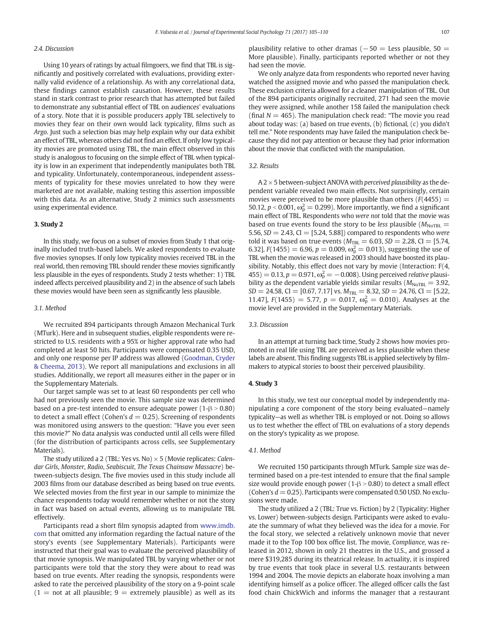# 2.4. Discussion

Using 10 years of ratings by actual filmgoers, we find that TBL is significantly and positively correlated with evaluations, providing externally valid evidence of a relationship. As with any correlational data, these findings cannot establish causation. However, these results stand in stark contrast to prior research that has attempted but failed to demonstrate any substantial effect of TBL on audiences' evaluations of a story. Note that it is possible producers apply TBL selectively to movies they fear on their own would lack typicality, films such as Argo. Just such a selection bias may help explain why our data exhibit an effect of TBL, whereas others did not find an effect. If only low typicality movies are promoted using TBL, the main effect observed in this study is analogous to focusing on the simple effect of TBL when typicality is low in an experiment that independently manipulates both TBL and typicality. Unfortunately, contemporaneous, independent assessments of typicality for these movies unrelated to how they were marketed are not available, making testing this assertion impossible with this data. As an alternative, Study 2 mimics such assessments using experimental evidence.

# 3. Study 2

In this study, we focus on a subset of movies from Study 1 that originally included truth-based labels. We asked respondents to evaluate five movies synopses. If only low typicality movies received TBL in the real world, then removing TBL should render these movies significantly less plausible in the eyes of respondents. Study 2 tests whether: 1) TBL indeed affects perceived plausibility and 2) in the absence of such labels these movies would have been seen as significantly less plausible.

#### 3.1. Method

We recruited 894 participants through Amazon Mechanical Turk (MTurk). Here and in subsequent studies, eligible respondents were restricted to U.S. residents with a 95% or higher approval rate who had completed at least 50 hits. Participants were compensated 0.35 USD, and only one response per IP address was allowed [\(Goodman, Cryder](#page-5-0) [& Cheema, 2013\)](#page-5-0). We report all manipulations and exclusions in all studies. Additionally, we report all measures either in the paper or in the Supplementary Materials.

Our target sample was set to at least 60 respondents per cell who had not previously seen the movie. This sample size was determined based on a pre-test intended to ensure adequate power ( $1-\beta > 0.80$ ) to detect a small effect (Cohen's  $d = 0.25$ ). Screening of respondents was monitored using answers to the question: "Have you ever seen this movie?" No data analysis was conducted until all cells were filled (for the distribution of participants across cells, see Supplementary Materials).

The study utilized a 2 (TBL: Yes vs. No)  $\times$  5 (Movie replicates: *Calen*dar Girls, Monster, Radio, Seabiscuit, The Texas Chainsaw Massacre) between-subjects design. The five movies used in this study include all 2003 films from our database described as being based on true events. We selected movies from the first year in our sample to minimize the chance respondents today would remember whether or not the story in fact was based on actual events, allowing us to manipulate TBL effectively.

Participants read a short film synopsis adapted from [www.imdb.](http://www.imdb.com) [com](http://www.imdb.com) that omitted any information regarding the factual nature of the story's events (see Supplementary Materials). Participants were instructed that their goal was to evaluate the perceived plausibility of that movie synopsis. We manipulated TBL by varying whether or not participants were told that the story they were about to read was based on true events. After reading the synopsis, respondents were asked to rate the perceived plausibility of the story on a 9-point scale  $(1 =$  not at all plausible;  $9 =$  extremely plausible) as well as its plausibility relative to other dramas ( $-50 =$  Less plausible,  $50 =$ More plausible). Finally, participants reported whether or not they had seen the movie.

We only analyze data from respondents who reported never having watched the assigned movie and who passed the manipulation check. These exclusion criteria allowed for a cleaner manipulation of TBL. Out of the 894 participants originally recruited, 271 had seen the movie they were assigned, while another 158 failed the manipulation check (final  $N = 465$ ). The manipulation check read: "The movie you read about today was: (a) based on true events, (b) fictional, (c) you didn't tell me." Note respondents may have failed the manipulation check because they did not pay attention or because they had prior information about the movie that conflicted with the manipulation.

# 3.2. Results

 $A$  2  $\times$  5 between-subject ANOVA with *perceived plausibility* as the dependent variable revealed two main effects. Not surprisingly, certain movies were perceived to be more plausible than others ( $F(4455)$ ) = 50.12,  $p < 0.001$ ,  $\omega_p^2 = 0.299$ ). More importantly, we find a significant main effect of TBL. Respondents who were not told that the movie was based on true events found the story to be less plausible ( $M_{\text{NoTBL}}$  = 5.56,  $SD = 2.43$ ,  $CI = [5.24, 5.88]$  compared to respondents who were told it was based on true events ( $M_{\text{TBL}} = 6.03$ , SD = 2.28, CI = [5.74, 6.32],  $F(1455) = 6.96$ ,  $p = 0.009$ ,  $\omega_p^2 = 0.013$ ), suggesting the use of TBL when the movie was released in 2003 should have boosted its plausibility. Notably, this effect does not vary by movie (Interaction: F(4,  $(455) = 0.13, p = 0.971, \omega_p^2 = -0.008$ ). Using perceived relative plausibility as the dependent variable yields similar results ( $M_{\text{NoTBL}} = 3.92$ ,  $SD = 24.58$ , CI = [0.67, 7.17] vs.  $M_{TBL} = 8.32$ ,  $SD = 24.76$ , CI = [5.22, 11.47],  $F(1455) = 5.77$ ,  $p = 0.017$ ,  $\omega_p^2 = 0.010$ ). Analyses at the movie level are provided in the Supplementary Materials.

#### 3.3. Discussion

In an attempt at turning back time, Study 2 shows how movies promoted in real life using TBL are perceived as less plausible when these labels are absent. This finding suggests TBL is applied selectively by filmmakers to atypical stories to boost their perceived plausibility.

# 4. Study 3

In this study, we test our conceptual model by independently manipulating a core component of the story being evaluated—namely typicality—as well as whether TBL is employed or not. Doing so allows us to test whether the effect of TBL on evaluations of a story depends on the story's typicality as we propose.

#### 4.1. Method

We recruited 150 participants through MTurk. Sample size was determined based on a pre-test intended to ensure that the final sample size would provide enough power ( $1-\beta > 0.80$ ) to detect a small effect (Cohen's  $d = 0.25$ ). Participants were compensated 0.50 USD. No exclusions were made.

The study utilized a 2 (TBL: True vs. Fiction) by 2 (Typicality: Higher vs. Lower) between-subjects design. Participants were asked to evaluate the summary of what they believed was the idea for a movie. For the focal story, we selected a relatively unknown movie that never made it to the Top 100 box office list. The movie, Compliance, was released in 2012, shown in only 21 theatres in the U.S., and grossed a mere \$319,285 during its theatrical release. In actuality, it is inspired by true events that took place in several U.S. restaurants between 1994 and 2004. The movie depicts an elaborate hoax involving a man identifying himself as a police officer. The alleged officer calls the fast food chain ChickWich and informs the manager that a restaurant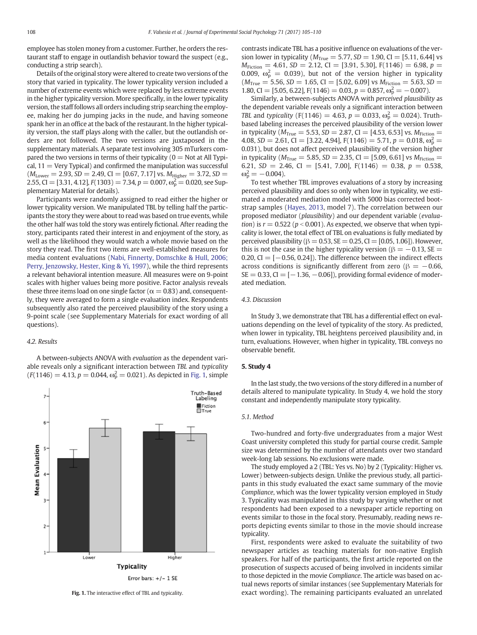employee has stolen money from a customer. Further, he orders the restaurant staff to engage in outlandish behavior toward the suspect (e.g., conducting a strip search).

Details of the original story were altered to create two versions of the story that varied in typicality. The lower typicality version included a number of extreme events which were replaced by less extreme events in the higher typicality version. More specifically, in the lower typicality version, the staff follows all orders including strip searching the employee, making her do jumping jacks in the nude, and having someone spank her in an office at the back of the restaurant. In the higher typicality version, the staff plays along with the caller, but the outlandish orders are not followed. The two versions are juxtaposed in the supplementary materials. A separate test involving 305 mTurkers compared the two versions in terms of their typicality ( $0 =$  Not at All Typical,  $11 =$  Very Typical) and confirmed the manipulation was successful  $(M_{Lower} = 2.93, SD = 2.49, CI = [0.67, 7.17]$  vs.  $M_{Higher} = 3.72, SD =$ 2.55, CI = [3.31, 4.12],  $F(1303) = 7.34$ ,  $p = 0.007$ ,  $\omega_p^2 = 0.020$ , see Supplementary Material for details).

Participants were randomly assigned to read either the higher or lower typicality version. We manipulated TBL by telling half the participants the story they were about to read was based on true events, while the other half was told the story was entirely fictional. After reading the story, participants rated their interest in and enjoyment of the story, as well as the likelihood they would watch a whole movie based on the story they read. The first two items are well-established measures for media content evaluations [\(Nabi, Finnerty, Domschke & Hull, 2006;](#page-5-0) [Perry, Jenzowsky, Hester, King & Yi, 1997\)](#page-5-0), while the third represents a relevant behavioral intention measure. All measures were on 9-point scales with higher values being more positive. Factor analysis reveals these three items load on one single factor ( $\alpha = 0.83$ ) and, consequently, they were averaged to form a single evaluation index. Respondents subsequently also rated the perceived plausibility of the story using a 9-point scale (see Supplementary Materials for exact wording of all questions).

#### 4.2. Results

A between-subjects ANOVA with evaluation as the dependent variable reveals only a significant interaction between TBL and typicality  $(F(1146) = 4.13, p = 0.044, \omega_p^2 = 0.021)$ . As depicted in Fig. 1, simple



contrasts indicate TBL has a positive influence on evaluations of the version lower in typicality ( $M_{True} = 5.77$ ,  $SD = 1.90$ , CI = [5.11, 6.44] vs  $M_{Fiction} = 4.61, SD = 2.12, CI = [3.91, 5.30], F(1146) = 6.98, p =$ 0.009,  $\omega_p^2 = 0.039$ ), but not of the version higher in typicality  $(M_{True} = 5.56, SD = 1.65, CI = [5.02, 6.09]$  vs  $M_{Fiction} = 5.63, SD =$ 1.80, CI = [5.05, 6.22], F(1146) = 0.03,  $p = 0.857$ ,  $\omega_p^2 = -0.007$ ).

Similarly, a between-subjects ANOVA with perceived plausibility as the dependent variable reveals only a significant interaction between TBL and typicality (F(1146) = 4.63,  $p = 0.033$ ,  $\omega_p^2 = 0.024$ ). Truthbased labeling increases the perceived plausibility of the version lower in typicality ( $M_{True} = 5.53$ ,  $SD = 2.87$ , CI = [4.53, 6.53] vs.  $M_{Fiction} =$ 4.08, SD = 2.61, CI = [3.22, 4.94], F(1146) = 5.71,  $p = 0.018$ ,  $\omega_p^2$  = 0.031), but does not affect perceived plausibility of the version higher in typicality ( $M_{True} = 5.85$ ,  $SD = 2.35$ , CI = [5.09, 6.61] vs  $M_{Fiction} =$ 6.21,  $SD = 2.46$ ,  $CI = [5.41, 7.00]$ ,  $F(1146) = 0.38$ ,  $p = 0.538$ ,  $\omega_p^2 = -0.004$ ).

To test whether TBL improves evaluations of a story by increasing perceived plausibility and does so only when low in typicality, we estimated a moderated mediation model with 5000 bias corrected bootstrap samples ([Hayes, 2013](#page-5-0), model 7). The correlation between our proposed mediator (plausibility) and our dependent variable (evaluation) is  $r = 0.522$  ( $p < 0.001$ ). As expected, we observe that when typicality is lower, the total effect of TBL on evaluations is fully mediated by perceived plausibility ( $\beta = 0.53$ ,  $SE = 0.25$ ,  $CI = [0.05, 1.06]$ ). However, this is not the case in the higher typicality version ( $\beta = -0.13$ , SE = 0.20, CI =  $[-0.56, 0.24]$ . The difference between the indirect effects across conditions is significantly different from zero ( $\beta = -0.66$ ,  $SE = 0.33$ ,  $CI = [-1.36, -0.06]$ , providing formal evidence of moderated mediation.

#### 4.3. Discussion

In Study 3, we demonstrate that TBL has a differential effect on evaluations depending on the level of typicality of the story. As predicted, when lower in typicality, TBL heightens perceived plausibility and, in turn, evaluations. However, when higher in typicality, TBL conveys no observable benefit.

# 5. Study 4

In the last study, the two versions of the story differed in a number of details altered to manipulate typicality. In Study 4, we hold the story constant and independently manipulate story typicality.

#### 5.1. Method

Two-hundred and forty-five undergraduates from a major West Coast university completed this study for partial course credit. Sample size was determined by the number of attendants over two standard week-long lab sessions. No exclusions were made.

The study employed a 2 (TBL: Yes vs. No) by 2 (Typicality: Higher vs. Lower) between-subjects design. Unlike the previous study, all participants in this study evaluated the exact same summary of the movie Compliance, which was the lower typicality version employed in Study 3. Typicality was manipulated in this study by varying whether or not respondents had been exposed to a newspaper article reporting on events similar to those in the focal story. Presumably, reading news reports depicting events similar to those in the movie should increase typicality.

First, respondents were asked to evaluate the suitability of two newspaper articles as teaching materials for non-native English speakers. For half of the participants, the first article reported on the prosecution of suspects accused of being involved in incidents similar to those depicted in the movie Compliance. The article was based on actual news reports of similar instances (see Supplementary Materials for Fig. 1. The interactive effect of TBL and typicality. exact wording). The remaining participants evaluated an unrelated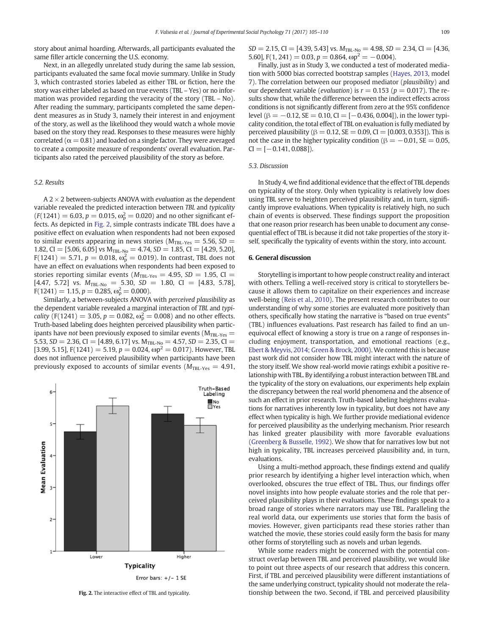story about animal hoarding. Afterwards, all participants evaluated the same filler article concerning the U.S. economy.

Next, in an allegedly unrelated study during the same lab session, participants evaluated the same focal movie summary. Unlike in Study 3, which contrasted stories labeled as either TBL or fiction, here the story was either labeled as based on true events (TBL – Yes) or no information was provided regarding the veracity of the story (TBL – No). After reading the summary, participants completed the same dependent measures as in Study 3, namely their interest in and enjoyment of the story, as well as the likelihood they would watch a whole movie based on the story they read. Responses to these measures were highly correlated ( $\alpha$  = 0.81) and loaded on a single factor. They were averaged to create a composite measure of respondents' overall evaluation. Participants also rated the perceived plausibility of the story as before.

### 5.2. Results

 $A$  2  $\times$  2 between-subjects ANOVA with *evaluation* as the dependent variable revealed the predicted interaction between TBL and typicality  $(F(1241) = 6.03, p = 0.015, \omega_p^2 = 0.020)$  and no other significant effects. As depicted in Fig. 2, simple contrasts indicate TBL does have a positive effect on evaluation when respondents had not been exposed to similar events appearing in news stories ( $M_{TBL-Yes} = 5.56$ ,  $SD =$ 1.82, CI = [5.06, 6.05] vs  $M_{TBL-NO}$  = 4.74, SD = 1.85, CI = [4.29, 5.20], F(1241)  $= 5.71, p = 0.018, \omega_{\rm p}^2 = 0.019$ ). In contrast, TBL does not have an effect on evaluations when respondents had been exposed to stories reporting similar events ( $M_{\text{TBL-Yes}} = 4.95$ ,  $SD = 1.95$ , CI = [4.47, 5.72] vs.  $M_{\text{TBL-No}} = 5.30, SD = 1.80, CI = [4.83, 5.78]$ ,  $F(1241) = 1.15, p = 0.285, \omega_p^2 = 0.000$ .

Similarly, a between-subjects ANOVA with perceived plausibility as the dependent variable revealed a marginal interaction of TBL and typi*cality* (F(1241) = 3.05,  $p = 0.082$ ,  $\omega_{\rm p}^2 = 0.008$ ) and no other effects. Truth-based labeling does heighten perceived plausibility when participants have not been previously exposed to similar events ( $M_{TBL-Yes}$  = 5.53,  $SD = 2.36$ ,  $CI = [4.89, 6.17]$  vs.  $M_{TBL-N0} = 4.57$ ,  $SD = 2.35$ ,  $CI =$ [3.99, 5.15], F(1241) = 5.19,  $p = 0.024$ ,  $\omega p^2 = 0.017$ ). However, TBL does not influence perceived plausibility when participants have been previously exposed to accounts of similar events ( $M_{\text{TBL-Yes}} = 4.91$ ,



 $SD = 2.15$ , CI = [4.39, 5.43] vs.  $M_{\text{TBL-No}} = 4.98$ ,  $SD = 2.34$ , CI = [4.36, 5.60], F(1, 241) = 0.03, p = 0.864,  $\omega$ p<sup>2</sup> = -0.004).

Finally, just as in Study 3, we conducted a test of moderated mediation with 5000 bias corrected bootstrap samples ([Hayes, 2013,](#page-5-0) model 7). The correlation between our proposed mediator (plausibility) and our dependent variable (*evaluation*) is  $r = 0.153$  ( $p = 0.017$ ). The results show that, while the difference between the indirect effects across conditions is not significantly different from zero at the 95% confidence level ( $\beta = -0.12$ , SE = 0.10, CI = [-0.436, 0.004]), in the lower typicality condition, the total effect of TBL on evaluation is fully mediated by perceived plausibility (β = 0.12, SE = 0.09, CI = [0.003, 0.353]). This is not the case in the higher typicality condition ( $\beta = -0.01$ , SE = 0.05,  $CI = [-0.141, 0.088]$ .

# 5.3. Discussion

In Study 4, we find additional evidence that the effect of TBL depends on typicality of the story. Only when typicality is relatively low does using TBL serve to heighten perceived plausibility and, in turn, significantly improve evaluations. When typicality is relatively high, no such chain of events is observed. These findings support the proposition that one reason prior research has been unable to document any consequential effect of TBL is because it did not take properties of the story itself, specifically the typicality of events within the story, into account.

#### 6. General discussion

Storytelling is important to how people construct reality and interact with others. Telling a well-received story is critical to storytellers because it allows them to capitalize on their experiences and increase well-being ([Reis et al., 2010](#page-5-0)). The present research contributes to our understanding of why some stories are evaluated more positively than others, specifically how stating the narrative is "based on true events" (TBL) influences evaluations. Past research has failed to find an unequivocal effect of knowing a story is true on a range of responses including enjoyment, transportation, and emotional reactions (e.g., [Ebert & Meyvis, 2014; Green & Brock, 2000](#page-5-0)). We contend this is because past work did not consider how TBL might interact with the nature of the story itself. We show real-world movie ratings exhibit a positive relationship with TBL. By identifying a robust interaction between TBL and the typicality of the story on evaluations, our experiments help explain the discrepancy between the real world phenomena and the absence of such an effect in prior research. Truth-based labeling heightens evaluations for narratives inherently low in typicality, but does not have any effect when typicality is high. We further provide mediational evidence for perceived plausibility as the underlying mechanism. Prior research has linked greater plausibility with more favorable evaluations [\(Greenberg & Busselle, 1992](#page-5-0)). We show that for narratives low but not high in typicality, TBL increases perceived plausibility and, in turn, evaluations.

Using a multi-method approach, these findings extend and qualify prior research by identifying a higher level interaction which, when overlooked, obscures the true effect of TBL. Thus, our findings offer novel insights into how people evaluate stories and the role that perceived plausibility plays in their evaluations. These findings speak to a broad range of stories where narrators may use TBL. Paralleling the real world data, our experiments use stories that form the basis of movies. However, given participants read these stories rather than watched the movie, these stories could easily form the basis for many other forms of storytelling such as novels and urban legends.

While some readers might be concerned with the potential construct overlap between TBL and perceived plausibility, we would like to point out three aspects of our research that address this concern. First, if TBL and perceived plausibility were different instantiations of the same underlying construct, typicality should not moderate the rela-Fig. 2. The interactive effect of TBL and typicality. the two second, if TBL and perceived plausibility